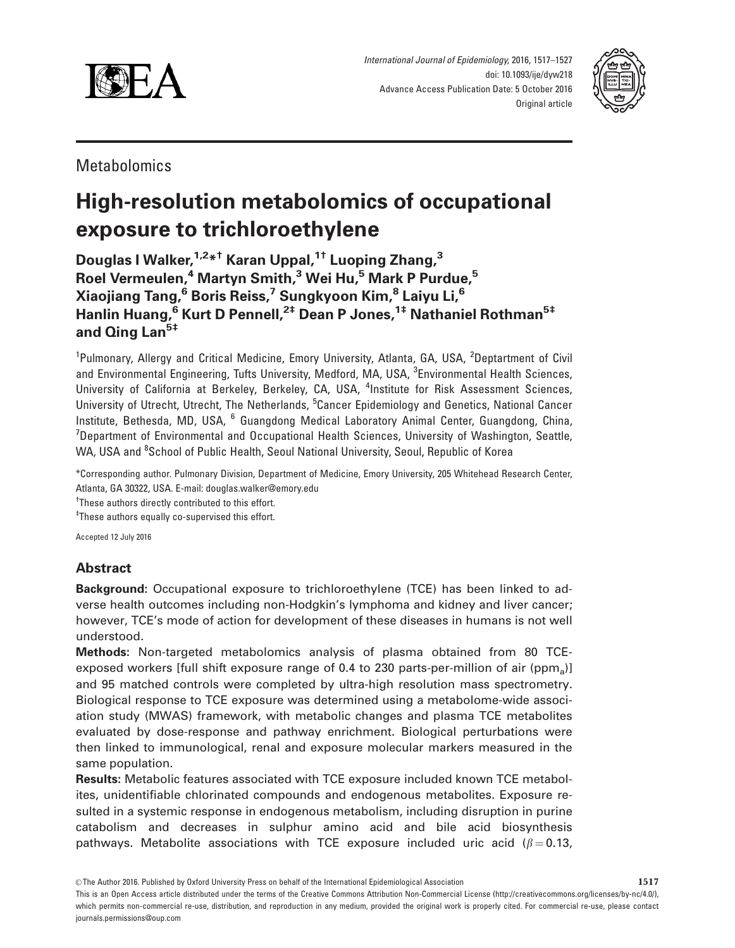



**Metabolomics** 

# High-resolution metabolomics of occupational exposure to trichloroethylene

Douglas I Walker,  $1.2*$ <sup>†</sup> Karan Uppal,  $1<sup>†</sup>$  Luoping Zhang,  $3<sup>3</sup>$ Roel Vermeulen,<sup>4</sup> Martyn Smith,<sup>3</sup> Wei Hu,<sup>5</sup> Mark P Purdue,<sup>5</sup> Xiaojiang Tang,<sup>6</sup> Boris Reiss,<sup>7</sup> Sungkyoon Kim,<sup>8</sup> Laiyu Li,<sup>6</sup> Hanlin Huang,<sup>6</sup> Kurt D Pennell,<sup>2‡</sup> Dean P Jones,<sup>1‡</sup> Nathaniel Rothman<sup>5‡</sup> and Qing Lan<sup>5‡</sup>

<sup>1</sup>Pulmonary, Allergy and Critical Medicine, Emory University, Atlanta, GA, USA, <sup>2</sup>Deptartment of Civil and Environmental Engineering, Tufts University, Medford, MA, USA, <sup>3</sup>Environmental Health Sciences, University of California at Berkeley, Berkeley, CA, USA, <sup>4</sup>Institute for Risk Assessment Sciences, University of Utrecht, Utrecht, The Netherlands, <sup>5</sup>Cancer Epidemiology and Genetics, National Cancer Institute, Bethesda, MD, USA, <sup>6</sup> Guangdong Medical Laboratory Animal Center, Guangdong, China, <sup>7</sup>Department of Environmental and Occupational Health Sciences, University of Washington, Seattle, WA, USA and <sup>8</sup>School of Public Health, Seoul National University, Seoul, Republic of Korea

\*Corresponding author. Pulmonary Division, Department of Medicine, Emory University, 205 Whitehead Research Center, Atlanta, GA 30322, USA. E-mail: douglas.walker@emory.edu

<sup>†</sup>These authors directly contributed to this effort.

‡ These authors equally co-supervised this effort.

Accepted 12 July 2016

# Abstract

Background: Occupational exposure to trichloroethylene (TCE) has been linked to adverse health outcomes including non-Hodgkin's lymphoma and kidney and liver cancer; however, TCE's mode of action for development of these diseases in humans is not well understood.

Methods: Non-targeted metabolomics analysis of plasma obtained from 80 TCEexposed workers [full shift exposure range of 0.4 to 230 parts-per-million of air ( $ppm_a$ )] and 95 matched controls were completed by ultra-high resolution mass spectrometry. Biological response to TCE exposure was determined using a metabolome-wide association study (MWAS) framework, with metabolic changes and plasma TCE metabolites evaluated by dose-response and pathway enrichment. Biological perturbations were then linked to immunological, renal and exposure molecular markers measured in the same population.

Results: Metabolic features associated with TCE exposure included known TCE metabolites, unidentifiable chlorinated compounds and endogenous metabolites. Exposure resulted in a systemic response in endogenous metabolism, including disruption in purine catabolism and decreases in sulphur amino acid and bile acid biosynthesis pathways. Metabolite associations with TCE exposure included uric acid ( $\beta = 0.13$ ,

 $\heartsuit$ The Author 2016. Published by Oxford University Press on behalf of the International Epidemiological Association 1517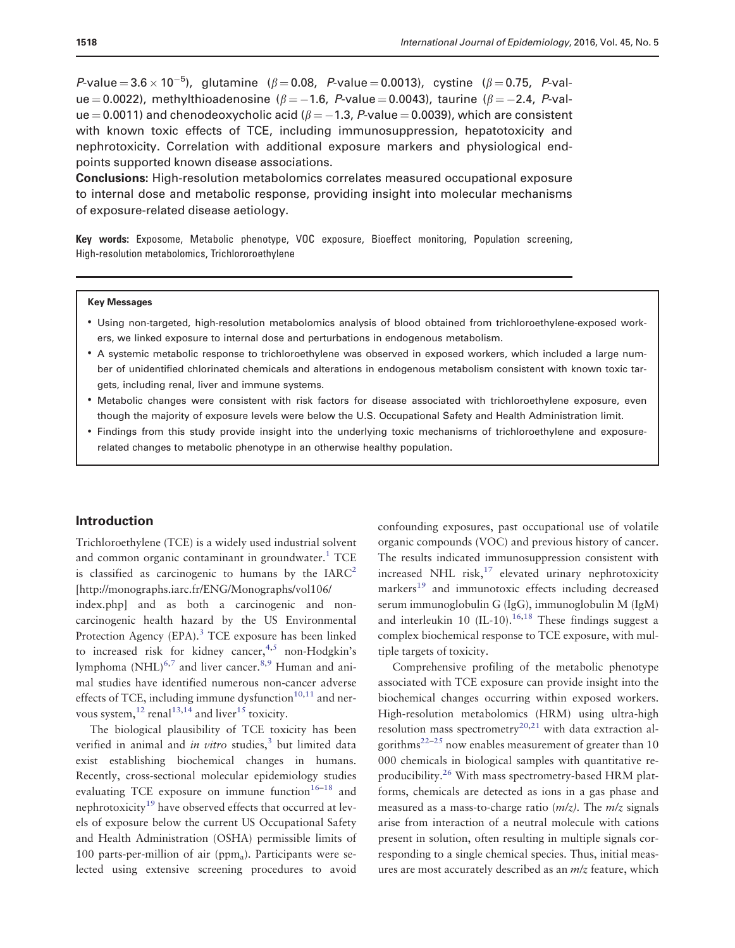P-value = 3.6  $\times$  10<sup>-5</sup>), glutamine ( $\beta$  = 0.08, P-value = 0.0013), cystine ( $\beta$  = 0.75, P-value = 0.0022), methylthioadenosine ( $\beta$  = -1.6, P-value = 0.0043), taurine ( $\beta$  = -2.4, P-value = 0.0011) and chenodeoxycholic acid ( $\beta$  = -1.3, P-value = 0.0039), which are consistent with known toxic effects of TCE, including immunosuppression, hepatotoxicity and nephrotoxicity. Correlation with additional exposure markers and physiological endpoints supported known disease associations.

Conclusions: High-resolution metabolomics correlates measured occupational exposure to internal dose and metabolic response, providing insight into molecular mechanisms of exposure-related disease aetiology.

Key words: Exposome, Metabolic phenotype, VOC exposure, Bioeffect monitoring, Population screening, High-resolution metabolomics, Trichlororoethylene

#### Key Messages

- Using non-targeted, high-resolution metabolomics analysis of blood obtained from trichloroethylene-exposed workers, we linked exposure to internal dose and perturbations in endogenous metabolism.
- A systemic metabolic response to trichloroethylene was observed in exposed workers, which included a large number of unidentified chlorinated chemicals and alterations in endogenous metabolism consistent with known toxic targets, including renal, liver and immune systems.
- Metabolic changes were consistent with risk factors for disease associated with trichloroethylene exposure, even though the majority of exposure levels were below the U.S. Occupational Safety and Health Administration limit.
- Findings from this study provide insight into the underlying toxic mechanisms of trichloroethylene and exposurerelated changes to metabolic phenotype in an otherwise healthy population.

#### Introduction

Trichloroethylene (TCE) is a widely used industrial solvent and common organic contaminant in groundwater.<sup>1</sup> TCE is classified as carcinogenic to humans by the  $IARC<sup>2</sup>$  $IARC<sup>2</sup>$  $IARC<sup>2</sup>$ [\[http://monographs.iarc.fr/ENG/Monographs/vol106/](http://monographs.iarc.fr/ENG/Monographs/vol106/index.php)

[index.php](http://monographs.iarc.fr/ENG/Monographs/vol106/index.php)] and as both a carcinogenic and noncarcinogenic health hazard by the US Environmental Protection Agency (EPA).<sup>[3](#page-8-0)</sup> TCE exposure has been linked to increased risk for kidney cancer,  $4,5$  non-Hodgkin's lymphoma  $(NHL)^{6,7}$  $(NHL)^{6,7}$  $(NHL)^{6,7}$  and liver cancer.<sup>[8,9](#page-8-0)</sup> Human and animal studies have identified numerous non-cancer adverse effects of TCE, including immune dysfunction<sup>[10,11](#page-8-0)</sup> and nervous system,  $^{12}$  renal<sup>13,14</sup> and liver<sup>15</sup> toxicity.

The biological plausibility of TCE toxicity has been verified in animal and in vitro studies, $3$  but limited data exist establishing biochemical changes in humans. Recently, cross-sectional molecular epidemiology studies evaluating TCE exposure on immune function $16-18$  $16-18$  $16-18$  and nephrotoxicity<sup>[19](#page-8-0)</sup> have observed effects that occurred at levels of exposure below the current US Occupational Safety and Health Administration (OSHA) permissible limits of 100 parts-per-million of air (ppm<sub>a</sub>). Participants were selected using extensive screening procedures to avoid confounding exposures, past occupational use of volatile organic compounds (VOC) and previous history of cancer. The results indicated immunosuppression consistent with increased NHL risk, $17$  elevated urinary nephrotoxicity markers<sup>19</sup> and immunotoxic effects including decreased serum immunoglobulin G (IgG), immunoglobulin M (IgM) and interleukin 10 (IL-10).<sup>[16,18](#page-8-0)</sup> These findings suggest a complex biochemical response to TCE exposure, with multiple targets of toxicity.

Comprehensive profiling of the metabolic phenotype associated with TCE exposure can provide insight into the biochemical changes occurring within exposed workers. High-resolution metabolomics (HRM) using ultra-high resolution mass spectrometry<sup>[20,21](#page-8-0)</sup> with data extraction al-gorithms<sup>22–[25](#page-8-0)</sup> now enables measurement of greater than 10 000 chemicals in biological samples with quantitative reproducibility[.26](#page-8-0) With mass spectrometry-based HRM platforms, chemicals are detected as ions in a gas phase and measured as a mass-to-charge ratio  $(m/z)$ . The  $m/z$  signals arise from interaction of a neutral molecule with cations present in solution, often resulting in multiple signals corresponding to a single chemical species. Thus, initial measures are most accurately described as an m/z feature, which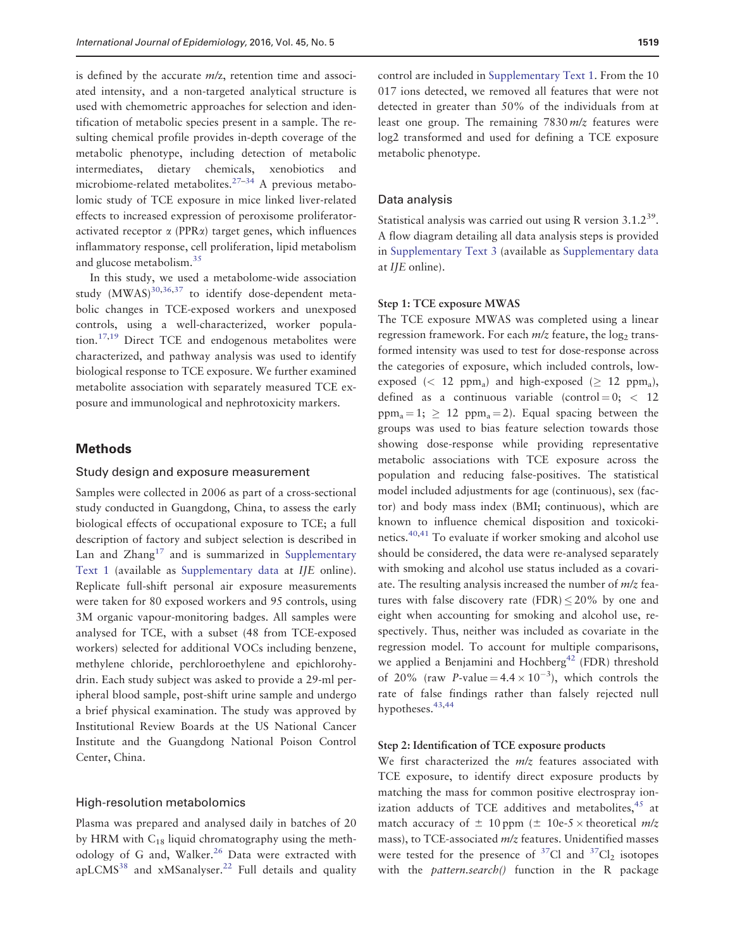is defined by the accurate  $m/z$ , retention time and associated intensity, and a non-targeted analytical structure is used with chemometric approaches for selection and identification of metabolic species present in a sample. The resulting chemical profile provides in-depth coverage of the metabolic phenotype, including detection of metabolic intermediates, dietary chemicals, xenobiotics and microbiome-related metabolites.[27](#page-8-0)–[34](#page-9-0) A previous metabolomic study of TCE exposure in mice linked liver-related effects to increased expression of peroxisome proliferatoractivated receptor  $\alpha$  (PPR $\alpha$ ) target genes, which influences inflammatory response, cell proliferation, lipid metabolism and glucose metabolism.<sup>[35](#page-9-0)</sup>

In this study, we used a metabolome-wide association study  $(MWAS)^{30,36,37}$  $(MWAS)^{30,36,37}$  $(MWAS)^{30,36,37}$  to identify dose-dependent metabolic changes in TCE-exposed workers and unexposed controls, using a well-characterized, worker popula-tion.<sup>[17,19](#page-8-0)</sup> Direct TCE and endogenous metabolites were characterized, and pathway analysis was used to identify biological response to TCE exposure. We further examined metabolite association with separately measured TCE exposure and immunological and nephrotoxicity markers.

#### **Methods**

#### Study design and exposure measurement

Samples were collected in 2006 as part of a cross-sectional study conducted in Guangdong, China, to assess the early biological effects of occupational exposure to TCE; a full description of factory and subject selection is described in Lan and  $Zhang<sup>17</sup>$  $Zhang<sup>17</sup>$  $Zhang<sup>17</sup>$  and is summarized in [Supplementary](http://ije.oxfordjournals.org/lookup/suppl/doi:10.1093/ije/dyw218/-/DC1) [Text 1](http://ije.oxfordjournals.org/lookup/suppl/doi:10.1093/ije/dyw218/-/DC1) (available as [Supplementary data](http://ije.oxfordjournals.org/lookup/suppl/doi:10.1093/ije/dyw218/-/DC1) at IJE online). Replicate full-shift personal air exposure measurements were taken for 80 exposed workers and 95 controls, using 3M organic vapour-monitoring badges. All samples were analysed for TCE, with a subset (48 from TCE-exposed workers) selected for additional VOCs including benzene, methylene chloride, perchloroethylene and epichlorohydrin. Each study subject was asked to provide a 29-ml peripheral blood sample, post-shift urine sample and undergo a brief physical examination. The study was approved by Institutional Review Boards at the US National Cancer Institute and the Guangdong National Poison Control Center, China.

## High-resolution metabolomics

Plasma was prepared and analysed daily in batches of 20 by HRM with  $C_{18}$  liquid chromatography using the methodology of G and, Walker.<sup>26</sup> Data were extracted with apLCMS $^{38}$  and xMSanalyser.<sup>[22](#page-8-0)</sup> Full details and quality

control are included in [Supplementary Text 1](http://ije.oxfordjournals.org/lookup/suppl/doi:10.1093/ije/dyw218/-/DC1). From the 10 017 ions detected, we removed all features that were not detected in greater than 50% of the individuals from at least one group. The remaining  $7830 \frac{m}{z}$  features were log2 transformed and used for defining a TCE exposure metabolic phenotype.

#### Data analysis

Statistical analysis was carried out using R version 3.1.239. A flow diagram detailing all data analysis steps is provided in [Supplementary Text 3](http://ije.oxfordjournals.org/lookup/suppl/doi:10.1093/ije/dyw218/-/DC1) (available as [Supplementary data](http://ije.oxfordjournals.org/lookup/suppl/doi:10.1093/ije/dyw218/-/DC1) at IJE online).

#### Step 1: TCE exposure MWAS

The TCE exposure MWAS was completed using a linear regression framework. For each  $m/z$  feature, the log<sub>2</sub> transformed intensity was used to test for dose-response across the categories of exposure, which included controls, lowexposed ( $\lt$  12 ppm<sub>a</sub>) and high-exposed ( $\gt$  12 ppm<sub>a</sub>), defined as a continuous variable (control = 0;  $\langle 12 \rangle$  $ppm_a = 1$ ;  $> 12$   $ppm_a = 2$ ). Equal spacing between the groups was used to bias feature selection towards those showing dose-response while providing representative metabolic associations with TCE exposure across the population and reducing false-positives. The statistical model included adjustments for age (continuous), sex (factor) and body mass index (BMI; continuous), which are known to influence chemical disposition and toxicokinetics.[40](#page-9-0),[41](#page-9-0) To evaluate if worker smoking and alcohol use should be considered, the data were re-analysed separately with smoking and alcohol use status included as a covariate. The resulting analysis increased the number of  $m/z$  features with false discovery rate  $(FDR) < 20\%$  by one and eight when accounting for smoking and alcohol use, respectively. Thus, neither was included as covariate in the regression model. To account for multiple comparisons, we applied a Benjamini and Hochberg<sup>42</sup> (FDR) threshold of 20% (raw P-value =  $4.4 \times 10^{-3}$ ), which controls the rate of false findings rather than falsely rejected null hypotheses.<sup>43,44</sup>

#### Step 2: Identification of TCE exposure products

We first characterized the  $m/z$  features associated with TCE exposure, to identify direct exposure products by matching the mass for common positive electrospray ionization adducts of TCE additives and metabolites, $45$  at match accuracy of  $\pm$  10 ppm ( $\pm$  10e-5  $\times$  theoretical *m/z* mass), to TCE-associated m/z features. Unidentified masses were tested for the presence of  $37Cl$  $37Cl$  and  $37Cl$ <sub>2</sub> isotopes with the *pattern.search*() function in the R package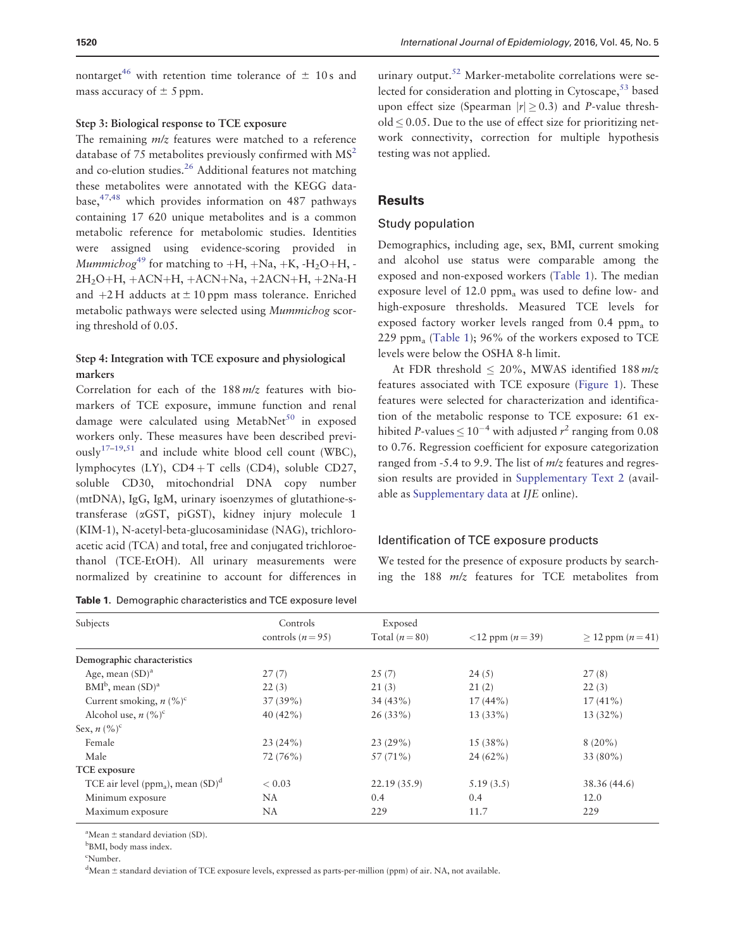nontarget<sup>[46](#page-9-0)</sup> with retention time tolerance of  $\pm$  10 s and mass accuracy of  $\pm$  5 ppm.

#### Step 3: Biological response to TCE exposure

The remaining  $m/z$  features were matched to a reference database of 75 metabolites previously confirmed with  $MS<sup>2</sup>$  $MS<sup>2</sup>$  $MS<sup>2</sup>$ and co-elution studies.[26](#page-8-0) Additional features not matching these metabolites were annotated with the KEGG database, $47,48$  which provides information on 487 pathways containing 17 620 unique metabolites and is a common metabolic reference for metabolomic studies. Identities were assigned using evidence-scoring provided in Mummichog<sup>[49](#page-9-0)</sup> for matching to  $+H$ ,  $+Na$ ,  $+K$ ,  $-H_2O+H$ , - $2H_2O+H$ ,  $+ACN+H$ ,  $+ACN+Na$ ,  $+2ACN+H$ ,  $+2Na-H$ and  $+2$  H adducts at  $\pm$  10 ppm mass tolerance. Enriched metabolic pathways were selected using Mummichog scoring threshold of 0.05.

# Step 4: Integration with TCE exposure and physiological markers

Correlation for each of the  $188 \, m/z$  features with biomarkers of TCE exposure, immune function and renal damage were calculated using MetabNet<sup>50</sup> in exposed workers only. These measures have been described previ-ously<sup>17-19,[51](#page-9-0)</sup> and include white blood cell count (WBC), lymphocytes (LY),  $CD4+T$  cells (CD4), soluble CD27, soluble CD30, mitochondrial DNA copy number (mtDNA), IgG, IgM, urinary isoenzymes of glutathione-stransferase (aGST, piGST), kidney injury molecule 1 (KIM-1), N-acetyl-beta-glucosaminidase (NAG), trichloroacetic acid (TCA) and total, free and conjugated trichloroethanol (TCE-EtOH). All urinary measurements were normalized by creatinine to account for differences in

Table 1. Demographic characteristics and TCE exposure level

urinary output.<sup>[52](#page-9-0)</sup> Marker-metabolite correlations were selected for consideration and plotting in Cytoscape,  $53$  based upon effect size (Spearman  $|r| > 0.3$ ) and P-value thresh $old \leq 0.05$ . Due to the use of effect size for prioritizing network connectivity, correction for multiple hypothesis testing was not applied.

#### **Results**

#### Study population

Demographics, including age, sex, BMI, current smoking and alcohol use status were comparable among the exposed and non-exposed workers (Table 1). The median exposure level of 12.0 ppm<sub>a</sub> was used to define low- and high-exposure thresholds. Measured TCE levels for exposed factory worker levels ranged from 0.4 ppm, to 229 ppm<sub>a</sub> (Table 1);  $96\%$  of the workers exposed to TCE levels were below the OSHA 8-h limit.

At FDR threshold  $\langle 20\%, \text{MWAS identified } 188 \, \text{m/s} \rangle$ features associated with TCE exposure [\(Figure 1](#page-4-0)). These features were selected for characterization and identification of the metabolic response to TCE exposure: 61 exhibited P-values  $\leq 10^{-4}$  with adjusted  $r^2$  ranging from 0.08 to 0.76. Regression coefficient for exposure categorization ranged from -5.4 to 9.9. The list of  $m/z$  features and regression results are provided in [Supplementary Text 2](http://ije.oxfordjournals.org/lookup/suppl/doi:10.1093/ije/dyw218/-/DC1) (available as [Supplementary data](http://ije.oxfordjournals.org/lookup/suppl/doi:10.1093/ije/dyw218/-/DC1) at IJE online).

#### Identification of TCE exposure products

We tested for the presence of exposure products by searching the 188  $m/z$  features for TCE metabolites from

| Subjects                                         | Controls          | Exposed        |                             |                     |
|--------------------------------------------------|-------------------|----------------|-----------------------------|---------------------|
|                                                  | controls $(n=95)$ | Total $(n=80)$ | $<$ 12 ppm ( <i>n</i> = 39) | $> 12$ ppm $(n=41)$ |
| Demographic characteristics                      |                   |                |                             |                     |
| Age, mean $(SD)^a$                               | 27(7)             | 25(7)          | 24(5)                       | 27(8)               |
| $BMIb$ , mean $(SD)a$                            | 22(3)             | 21(3)          | 21(2)                       | 22(3)               |
| Current smoking, $n$ (%) <sup>c</sup>            | 37(39%)           | $34(43\%)$     | $17(44\%)$                  | $17(41\%)$          |
| Alcohol use, $n \binom{0}{0}^c$                  | 40 $(42\%)$       | $26(33\%)$     | $13(33\%)$                  | $13(32\%)$          |
| Sex, $n (%)^c$                                   |                   |                |                             |                     |
| Female                                           | 23(24%)           | 23(29%)        | $15(38\%)$                  | $8(20\%)$           |
| Male                                             | 72 (76%)          | $57(71\%)$     | $24(62\%)$                  | $33(80\%)$          |
| TCE exposure                                     |                   |                |                             |                     |
| TCE air level (ppm <sub>a</sub> ), mean $(SD)^d$ | < 0.03            | 22.19(35.9)    | 5.19(3.5)                   | 38.36 (44.6)        |
| Minimum exposure                                 | NA                | 0.4            | 0.4                         | 12.0                |
| Maximum exposure                                 | NA                | 229            | 11.7                        | 229                 |

 $^{\text{a}}$ Mean  $\pm$  standard deviation (SD).

<sup>b</sup>BMI, body mass index.

c Number.

<sup>d</sup>Mean ± standard deviation of TCE exposure levels, expressed as parts-per-million (ppm) of air. NA, not available.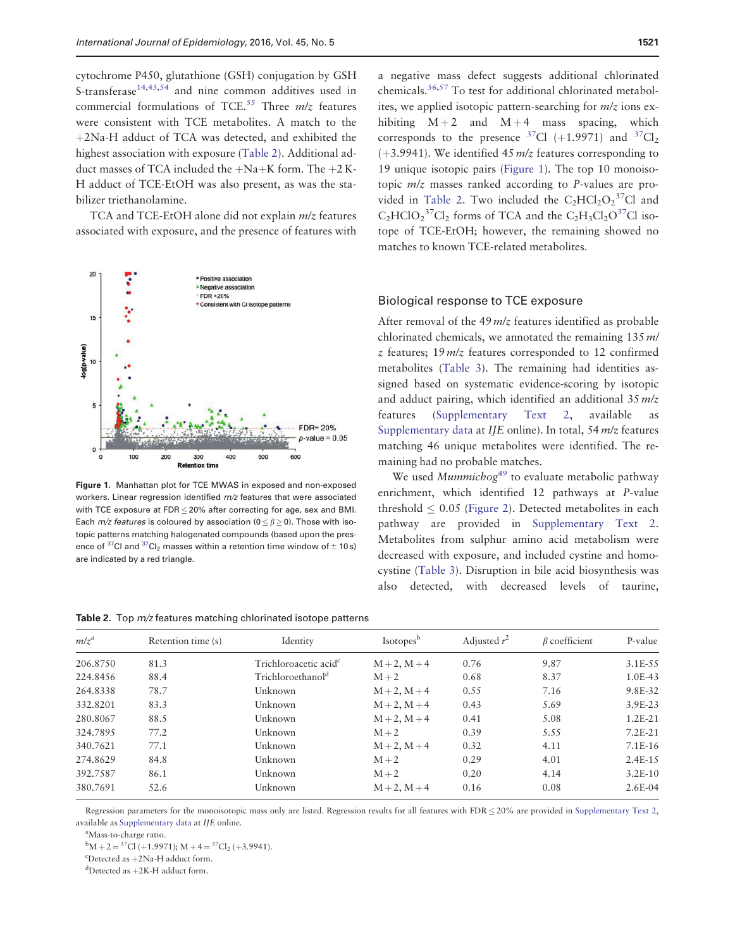<span id="page-4-0"></span>cytochrome P450, glutathione (GSH) conjugation by GSH S-transferase<sup>[14](#page-8-0)[,45,54](#page-9-0)</sup> and nine common additives used in commercial formulations of TCE.<sup>[55](#page-9-0)</sup> Three  $m/z$  features were consistent with TCE metabolites. A match to the þ2Na-H adduct of TCA was detected, and exhibited the highest association with exposure (Table 2). Additional adduct masses of TCA included the  $+Na+K$  form. The  $+2 K$ -H adduct of TCE-EtOH was also present, as was the stabilizer triethanolamine.

TCA and TCE-EtOH alone did not explain  $m/z$  features associated with exposure, and the presence of features with



Figure 1. Manhattan plot for TCE MWAS in exposed and non-exposed workers. Linear regression identified m/z features that were associated with TCE exposure at FDR  $\leq$  20% after correcting for age, sex and BMI. Each  $m/z$  features is coloured by association  $(0 \lt \beta \gt 0)$ . Those with isotopic patterns matching halogenated compounds (based upon the presence of  $37$ Cl and  $37$ Cl<sub>2</sub> masses within a retention time window of  $\pm$  10 s) are indicated by a red triangle.

a negative mass defect suggests additional chlorinated chemicals[.56,57](#page-9-0) To test for additional chlorinated metabolites, we applied isotopic pattern-searching for  $m/z$  ions exhibiting  $M+2$  and  $M+4$  mass spacing, which corresponds to the presence  ${}^{37}Cl$  ${}^{37}Cl$  ${}^{37}Cl$  (+1.9971) and  ${}^{37}Cl_2$  $(+3.9941)$ . We identified 45 m/z features corresponding to 19 unique isotopic pairs (Figure 1). The top 10 monoisotopic m/z masses ranked according to P-values are provided in Table 2. Two included the  $C_2HCl_2O_2^{37}Cl$  and  $C_2HClO_2^{37}Cl_2$  $C_2HClO_2^{37}Cl_2$  $C_2HClO_2^{37}Cl_2$  forms of TCA and the  $C_2H_3Cl_2O^{37}Cl$  isotope of TCE-EtOH; however, the remaining showed no matches to known TCE-related metabolites.

## Biological response to TCE exposure

After removal of the  $49 \, m/z$  features identified as probable chlorinated chemicals, we annotated the remaining 135 m/  $z$  features;  $19 \frac{m}{z}$  features corresponded to 12 confirmed metabolites ([Table 3](#page-5-0)). The remaining had identities assigned based on systematic evidence-scoring by isotopic and adduct pairing, which identified an additional  $35$  m/z features ([Supplementary Text 2,](http://ije.oxfordjournals.org/lookup/suppl/doi:10.1093/ije/dyw218/-/DC1) available as [Supplementary data](http://ije.oxfordjournals.org/lookup/suppl/doi:10.1093/ije/dyw218/-/DC1) at IJE online). In total, 54 m/z features matching 46 unique metabolites were identified. The remaining had no probable matches.

We used Mummichog<sup>[49](#page-9-0)</sup> to evaluate metabolic pathway enrichment, which identified 12 pathways at P-value threshold  $\leq 0.05$  [\(Figure 2\)](#page-5-0). Detected metabolites in each pathway are provided in [Supplementary Text 2.](http://ije.oxfordjournals.org/lookup/suppl/doi:10.1093/ije/dyw218/-/DC1) Metabolites from sulphur amino acid metabolism were decreased with exposure, and included cystine and homocystine ([Table 3](#page-5-0)). Disruption in bile acid biosynthesis was also detected, with decreased levels of taurine,

|  |  |  |  |  | <b>Table 2.</b> Top <i>m/z</i> features matching chlorinated isotope patterns |
|--|--|--|--|--|-------------------------------------------------------------------------------|
|--|--|--|--|--|-------------------------------------------------------------------------------|

| $m/z^a$  | Retention time (s) | Identity                          | Isotopes <sup>b</sup> | Adjusted $r^2$ | $\beta$ coefficient | P-value     |
|----------|--------------------|-----------------------------------|-----------------------|----------------|---------------------|-------------|
| 206.8750 | 81.3               | Trichloroacetic acid <sup>c</sup> | $M + 2$ , $M + 4$     | 0.76           | 9.87                | $3.1E - 55$ |
| 224.8456 | 88.4               | Trichloroethanol <sup>d</sup>     | $M+2$                 | 0.68           | 8.37                | 1.0E-43     |
| 264.8338 | 78.7               | Unknown                           | $M + 2, M + 4$        | 0.55           | 7.16                | 9.8E-32     |
| 332.8201 | 83.3               | Unknown                           | $M + 2, M + 4$        | 0.43           | 5.69                | 3.9E-23     |
| 280.8067 | 88.5               | Unknown                           | $M + 2, M + 4$        | 0.41           | 5.08                | $1.2E - 21$ |
| 324.7895 | 77.2               | Unknown                           | $M+2$                 | 0.39           | 5.55                | $7.2E - 21$ |
| 340.7621 | 77.1               | Unknown                           | $M + 2$ , $M + 4$     | 0.32           | 4.11                | $7.1E-16$   |
| 274.8629 | 84.8               | Unknown                           | $M+2$                 | 0.29           | 4.01                | $2.4E-15$   |
| 392.7587 | 86.1               | Unknown                           | $M+2$                 | 0.20           | 4.14                | $3.2E-10$   |
| 380.7691 | 52.6               | Unknown                           | $M + 2, M + 4$        | 0.16           | 0.08                | $2.6E-04$   |

Regression parameters for the monoisotopic mass only are listed. Regression results for all features with FDR  $\leq$  20% are provided in [Supplementary Text 2](http://ije.oxfordjournals.org/lookup/suppl/doi:10.1093/ije/dyw218/-/DC1), available as [Supplementary data](http://ije.oxfordjournals.org/lookup/suppl/doi:10.1093/ije/dyw218/-/DC1) at IJE online.

a Mass-to-charge ratio.

 ${}^{b}M + 2 = {}^{37}Cl + 1.9971$ ;  $M + 4 = {}^{37}Cl_2 + 3.9941$ .

 $c$ Detected as  $+2$ Na-H adduct form.

 $d$ Detected as  $+2K$ -H adduct form.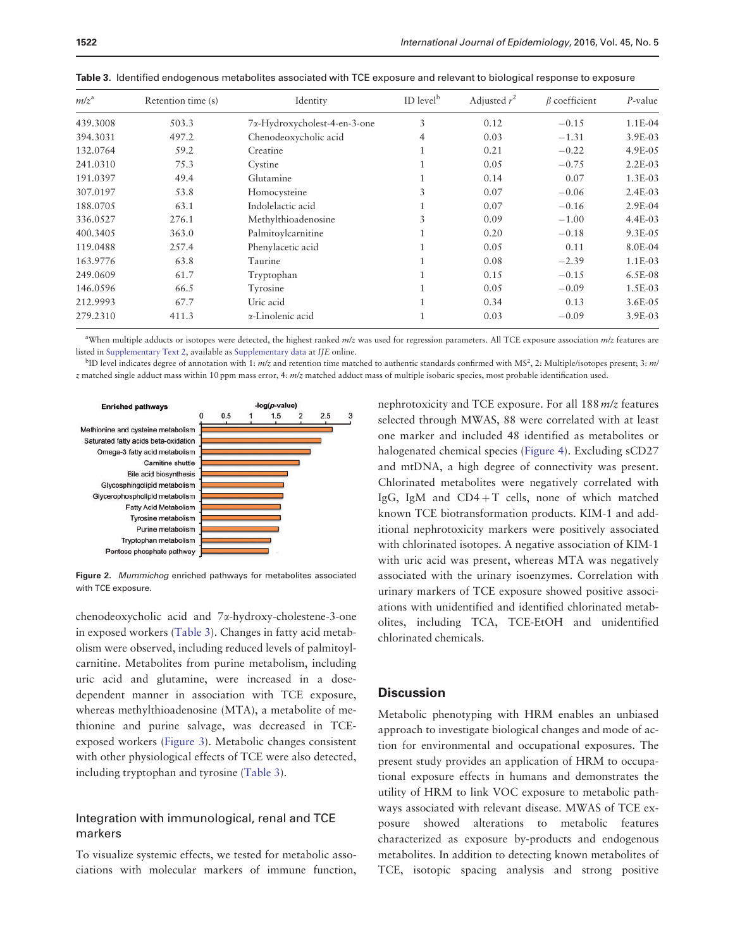| $m/z^a$  | Retention time (s) | Identity                     | ID level <sup>b</sup> | Adjusted $r^2$ | $\beta$ coefficient | $P$ -value |
|----------|--------------------|------------------------------|-----------------------|----------------|---------------------|------------|
| 439.3008 | 503.3              | 7α-Hydroxycholest-4-en-3-one | 3                     | 0.12           | $-0.15$             | 1.1E-04    |
| 394.3031 | 497.2              | Chenodeoxycholic acid        | $\overline{4}$        | 0.03           | $-1.31$             | 3.9E-03    |
| 132.0764 | 59.2               | Creatine                     |                       | 0.21           | $-0.22$             | 4.9E-05    |
| 241.0310 | 75.3               | Cystine                      |                       | 0.05           | $-0.75$             | $2.2E-03$  |
| 191.0397 | 49.4               | Glutamine                    | -1                    | 0.14           | 0.07                | 1.3E-03    |
| 307.0197 | 53.8               | Homocysteine                 | 3                     | 0.07           | $-0.06$             | $2.4E-03$  |
| 188.0705 | 63.1               | Indolelactic acid            | 1                     | 0.07           | $-0.16$             | $2.9E-04$  |
| 336.0527 | 276.1              | Methylthioadenosine          | 3                     | 0.09           | $-1.00$             | $4.4E-03$  |
| 400.3405 | 363.0              | Palmitoylcarnitine           |                       | 0.20           | $-0.18$             | 9.3E-05    |
| 119.0488 | 257.4              | Phenylacetic acid            |                       | 0.05           | 0.11                | 8.0E-04    |
| 163.9776 | 63.8               | Taurine                      | 1                     | 0.08           | $-2.39$             | $1.1E-03$  |
| 249.0609 | 61.7               | Tryptophan                   |                       | 0.15           | $-0.15$             | $6.5E-08$  |
| 146.0596 | 66.5               | Tyrosine                     | -1                    | 0.05           | $-0.09$             | $1.5E-03$  |
| 212.9993 | 67.7               | Uric acid                    |                       | 0.34           | 0.13                | 3.6E-05    |
| 279.2310 | 411.3              | α-Linolenic acid             | 1                     | 0.03           | $-0.09$             | 3.9E-03    |

<span id="page-5-0"></span>

| Table 3. Identified endogenous metabolites associated with TCE exposure and relevant to biological response to exposure |  |  |
|-------------------------------------------------------------------------------------------------------------------------|--|--|
|                                                                                                                         |  |  |

<sup>a</sup>When multiple adducts or isotopes were detected, the highest ranked m/z was used for regression parameters. All TCE exposure association m/z features are listed in [Supplementary Text 2,](http://ije.oxfordjournals.org/lookup/suppl/doi:10.1093/ije/dyw218/-/DC1) available as [Supplementary data](http://ije.oxfordjournals.org/lookup/suppl/doi:10.1093/ije/dyw218/-/DC1) at IJE online.

<sup>b</sup>ID level indicates degree of annotation with 1:  $m/z$  and retention time matched to authentic standards confirmed with MS<sup>2</sup>, 2: Multiple/isotopes present; 3:  $m$  $z$  matched single adduct mass within 10 ppm mass error, 4:  $m/z$  matched adduct mass of multiple isobaric species, most probable identification used.



Figure 2. Mummichog enriched pathways for metabolites associated with TCE exposure.

chenodeoxycholic acid and 7a-hydroxy-cholestene-3-one in exposed workers (Table 3). Changes in fatty acid metabolism were observed, including reduced levels of palmitoylcarnitine. Metabolites from purine metabolism, including uric acid and glutamine, were increased in a dosedependent manner in association with TCE exposure, whereas methylthioadenosine (MTA), a metabolite of methionine and purine salvage, was decreased in TCEexposed workers [\(Figure 3\)](#page-6-0). Metabolic changes consistent with other physiological effects of TCE were also detected, including tryptophan and tyrosine (Table 3).

# Integration with immunological, renal and TCE markers

To visualize systemic effects, we tested for metabolic associations with molecular markers of immune function,

nephrotoxicity and TCE exposure. For all 188 m/z features selected through MWAS, 88 were correlated with at least one marker and included 48 identified as metabolites or halogenated chemical species [\(Figure 4](#page-6-0)). Excluding sCD27 and mtDNA, a high degree of connectivity was present. Chlorinated metabolites were negatively correlated with IgG, IgM and  $CD4+T$  cells, none of which matched known TCE biotransformation products. KIM-1 and additional nephrotoxicity markers were positively associated with chlorinated isotopes. A negative association of KIM-1 with uric acid was present, whereas MTA was negatively associated with the urinary isoenzymes. Correlation with urinary markers of TCE exposure showed positive associations with unidentified and identified chlorinated metabolites, including TCA, TCE-EtOH and unidentified chlorinated chemicals.

# **Discussion**

Metabolic phenotyping with HRM enables an unbiased approach to investigate biological changes and mode of action for environmental and occupational exposures. The present study provides an application of HRM to occupational exposure effects in humans and demonstrates the utility of HRM to link VOC exposure to metabolic pathways associated with relevant disease. MWAS of TCE exposure showed alterations to metabolic features characterized as exposure by-products and endogenous metabolites. In addition to detecting known metabolites of TCE, isotopic spacing analysis and strong positive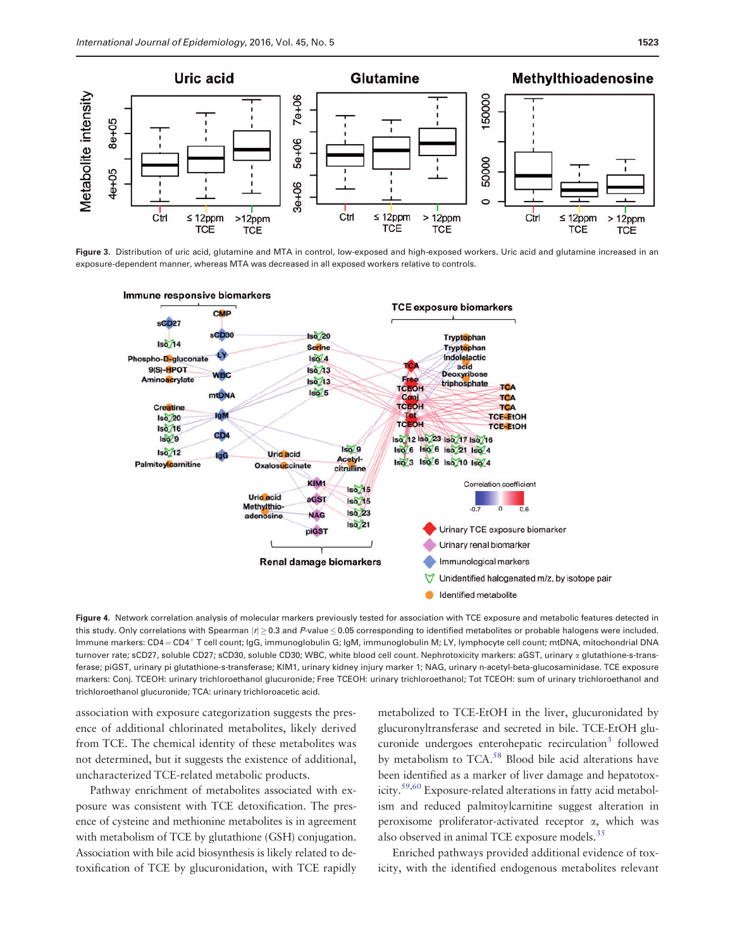<span id="page-6-0"></span>

Figure 3. Distribution of uric acid, glutamine and MTA in control, low-exposed and high-exposed workers. Uric acid and glutamine increased in an exposure-dependent manner, whereas MTA was decreased in all exposed workers relative to controls.



Figure 4. Network correlation analysis of molecular markers previously tested for association with TCE exposure and metabolic features detected in this study. Only correlations with Spearman  $|\eta| \geq 0.3$  and P-value  $\leq 0.05$  corresponding to identified metabolites or probable halogens were included. Immune markers: CD4 = CD4+ T cell count; IgG, immunoglobulin G; IgM, immunoglobulin M; LY, lymphocyte cell count; mtDNA, mitochondrial DNA turnover rate; sCD27, soluble CD27; sCD30, soluble CD30; WBC, white blood cell count. Nephrotoxicity markers: aGST, urinary a glutathione-s-transferase; piGST, urinary pi glutathione-s-transferase; KIM1, urinary kidney injury marker 1; NAG, urinary n-acetyl-beta-glucosaminidase. TCE exposure markers: Conj. TCEOH: urinary trichloroethanol glucuronide; Free TCEOH: urinary trichloroethanol; Tot TCEOH: sum of urinary trichloroethanol and trichloroethanol glucuronide; TCA: urinary trichloroacetic acid.

association with exposure categorization suggests the presence of additional chlorinated metabolites, likely derived from TCE. The chemical identity of these metabolites was not determined, but it suggests the existence of additional, uncharacterized TCE-related metabolic products.

Pathway enrichment of metabolites associated with exposure was consistent with TCE detoxification. The presence of cysteine and methionine metabolites is in agreement with metabolism of TCE by glutathione (GSH) conjugation. Association with bile acid biosynthesis is likely related to detoxification of TCE by glucuronidation, with TCE rapidly

metabolized to TCE-EtOH in the liver, glucuronidated by glucuronyltransferase and secreted in bile. TCE-EtOH glucuronide undergoes enterohepatic recirculation<sup>3</sup> followed by metabolism to TCA.<sup>[58](#page-9-0)</sup> Blood bile acid alterations have been identified as a marker of liver damage and hepatotoxicity[.59,60](#page-9-0) Exposure-related alterations in fatty acid metabolism and reduced palmitoylcarnitine suggest alteration in peroxisome proliferator-activated receptor a, which was also observed in animal TCE exposure models.<sup>35</sup>

Enriched pathways provided additional evidence of toxicity, with the identified endogenous metabolites relevant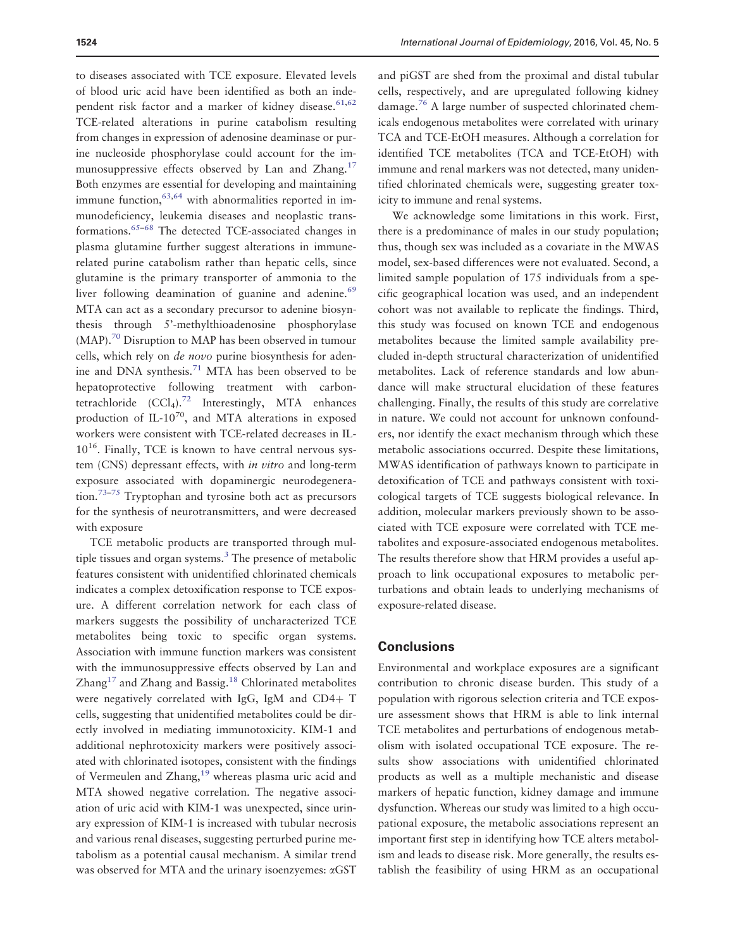to diseases associated with TCE exposure. Elevated levels of blood uric acid have been identified as both an inde-pendent risk factor and a marker of kidney disease.<sup>[61,62](#page-9-0)</sup> TCE-related alterations in purine catabolism resulting from changes in expression of adenosine deaminase or purine nucleoside phosphorylase could account for the immunosuppressive effects observed by Lan and Zhang.<sup>17</sup> Both enzymes are essential for developing and maintaining immune function,  $63,64$  with abnormalities reported in immunodeficiency, leukemia diseases and neoplastic transformations[.65–68](#page-10-0) The detected TCE-associated changes in plasma glutamine further suggest alterations in immunerelated purine catabolism rather than hepatic cells, since glutamine is the primary transporter of ammonia to the liver following deamination of guanine and adenine.<sup>69</sup> MTA can act as a secondary precursor to adenine biosynthesis through 5'-methylthioadenosine phosphorylase  $(MAP)$ .<sup>[70](#page-10-0)</sup> Disruption to MAP has been observed in tumour cells, which rely on de novo purine biosynthesis for adenine and DNA synthesis[.71](#page-10-0) MTA has been observed to be hepatoprotective following treatment with carbontetrachloride  $(CCl<sub>4</sub>)$ .<sup>[72](#page-10-0)</sup> Interestingly, MTA enhances production of IL-10<sup>70</sup>, and MTA alterations in exposed workers were consistent with TCE-related decreases in IL- $10^{16}$ . Finally, TCE is known to have central nervous system (CNS) depressant effects, with in vitro and long-term exposure associated with dopaminergic neurodegenera-tion.<sup>[73](#page-10-0)–[75](#page-10-0)</sup> Tryptophan and tyrosine both act as precursors for the synthesis of neurotransmitters, and were decreased with exposure

TCE metabolic products are transported through multiple tissues and organ systems. $3$  The presence of metabolic features consistent with unidentified chlorinated chemicals indicates a complex detoxification response to TCE exposure. A different correlation network for each class of markers suggests the possibility of uncharacterized TCE metabolites being toxic to specific organ systems. Association with immune function markers was consistent with the immunosuppressive effects observed by Lan and  $\text{Zhang}^{17}$  and  $\text{Zhang}$  and Bassig.<sup>[18](#page-8-0)</sup> Chlorinated metabolites were negatively correlated with IgG, IgM and CD4+ T cells, suggesting that unidentified metabolites could be directly involved in mediating immunotoxicity. KIM-1 and additional nephrotoxicity markers were positively associated with chlorinated isotopes, consistent with the findings of Vermeulen and Zhang,<sup>19</sup> whereas plasma uric acid and MTA showed negative correlation. The negative association of uric acid with KIM-1 was unexpected, since urinary expression of KIM-1 is increased with tubular necrosis and various renal diseases, suggesting perturbed purine metabolism as a potential causal mechanism. A similar trend was observed for MTA and the urinary isoenzyemes: aGST

and piGST are shed from the proximal and distal tubular cells, respectively, and are upregulated following kidney damage.[76](#page-10-0) A large number of suspected chlorinated chemicals endogenous metabolites were correlated with urinary TCA and TCE-EtOH measures. Although a correlation for identified TCE metabolites (TCA and TCE-EtOH) with immune and renal markers was not detected, many unidentified chlorinated chemicals were, suggesting greater toxicity to immune and renal systems.

We acknowledge some limitations in this work. First, there is a predominance of males in our study population; thus, though sex was included as a covariate in the MWAS model, sex-based differences were not evaluated. Second, a limited sample population of 175 individuals from a specific geographical location was used, and an independent cohort was not available to replicate the findings. Third, this study was focused on known TCE and endogenous metabolites because the limited sample availability precluded in-depth structural characterization of unidentified metabolites. Lack of reference standards and low abundance will make structural elucidation of these features challenging. Finally, the results of this study are correlative in nature. We could not account for unknown confounders, nor identify the exact mechanism through which these metabolic associations occurred. Despite these limitations, MWAS identification of pathways known to participate in detoxification of TCE and pathways consistent with toxicological targets of TCE suggests biological relevance. In addition, molecular markers previously shown to be associated with TCE exposure were correlated with TCE metabolites and exposure-associated endogenous metabolites. The results therefore show that HRM provides a useful approach to link occupational exposures to metabolic perturbations and obtain leads to underlying mechanisms of exposure-related disease.

#### **Conclusions**

Environmental and workplace exposures are a significant contribution to chronic disease burden. This study of a population with rigorous selection criteria and TCE exposure assessment shows that HRM is able to link internal TCE metabolites and perturbations of endogenous metabolism with isolated occupational TCE exposure. The results show associations with unidentified chlorinated products as well as a multiple mechanistic and disease markers of hepatic function, kidney damage and immune dysfunction. Whereas our study was limited to a high occupational exposure, the metabolic associations represent an important first step in identifying how TCE alters metabolism and leads to disease risk. More generally, the results establish the feasibility of using HRM as an occupational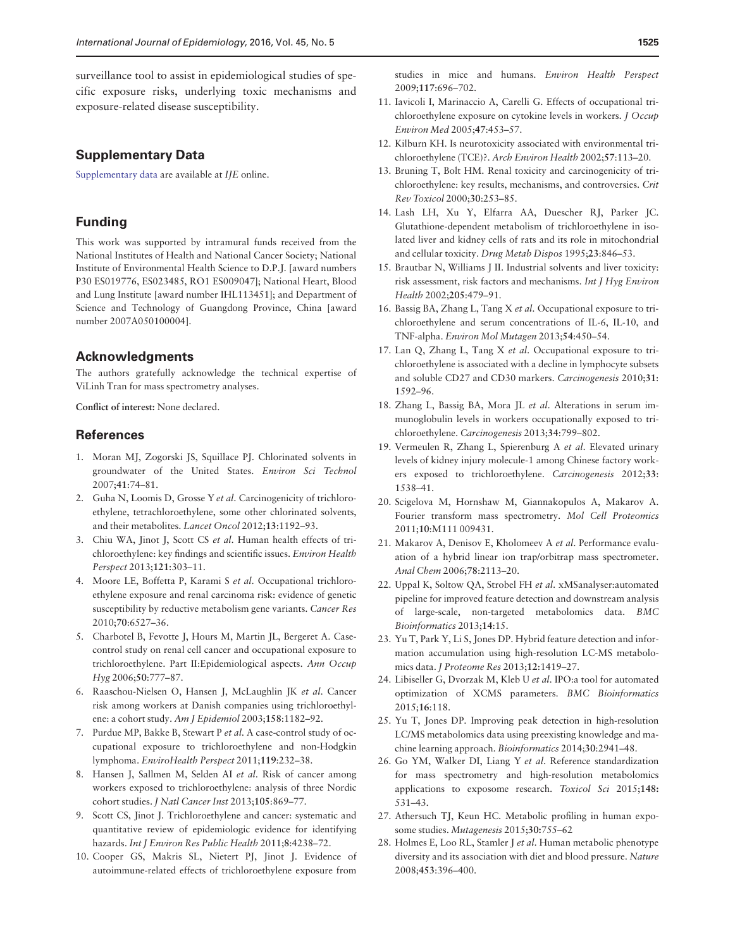<span id="page-8-0"></span>surveillance tool to assist in epidemiological studies of specific exposure risks, underlying toxic mechanisms and exposure-related disease susceptibility.

### Supplementary Data

[Supplementary data](http://ije.oxfordjournals.org/lookup/suppl/doi:10.1093/ije/dyw218/-/DC1) are available at IJE online.

# Funding

This work was supported by intramural funds received from the National Institutes of Health and National Cancer Society; National Institute of Environmental Health Science to D.P.J. [award numbers P30 ES019776, ES023485, RO1 ES009047]; National Heart, Blood and Lung Institute [award number IHL113451]; and Department of Science and Technology of Guangdong Province, China [award number 2007A050100004].

#### Acknowledgments

The authors gratefully acknowledge the technical expertise of ViLinh Tran for mass spectrometry analyses.

Conflict of interest: None declared.

#### References

- 1. Moran MJ, Zogorski JS, Squillace PJ. Chlorinated solvents in groundwater of the United States. Environ Sci Technol 2007;41:74–81.
- 2. Guha N, Loomis D, Grosse Y et al. Carcinogenicity of trichloroethylene, tetrachloroethylene, some other chlorinated solvents, and their metabolites. Lancet Oncol 2012;13:1192–93.
- 3. Chiu WA, Jinot J, Scott CS et al. Human health effects of trichloroethylene: key findings and scientific issues. Environ Health Perspect 2013;121:303–11.
- 4. Moore LE, Boffetta P, Karami S et al. Occupational trichloroethylene exposure and renal carcinoma risk: evidence of genetic susceptibility by reductive metabolism gene variants. Cancer Res 2010;70:6527–36.
- 5. Charbotel B, Fevotte J, Hours M, Martin JL, Bergeret A. Casecontrol study on renal cell cancer and occupational exposure to trichloroethylene. Part II:Epidemiological aspects. Ann Occup Hyg 2006;50:777–87.
- 6. Raaschou-Nielsen O, Hansen J, McLaughlin JK et al. Cancer risk among workers at Danish companies using trichloroethylene: a cohort study. Am J Epidemiol 2003;158:1182-92.
- 7. Purdue MP, Bakke B, Stewart P et al. A case-control study of occupational exposure to trichloroethylene and non-Hodgkin lymphoma. EnviroHealth Perspect 2011;119:232–38.
- 8. Hansen J, Sallmen M, Selden AI et al. Risk of cancer among workers exposed to trichloroethylene: analysis of three Nordic cohort studies. J Natl Cancer Inst 2013;105:869–77.
- 9. Scott CS, Jinot J. Trichloroethylene and cancer: systematic and quantitative review of epidemiologic evidence for identifying hazards. Int J Environ Res Public Health 2011;8:4238-72.
- 10. Cooper GS, Makris SL, Nietert PJ, Jinot J. Evidence of autoimmune-related effects of trichloroethylene exposure from
- 11. Iavicoli I, Marinaccio A, Carelli G. Effects of occupational trichloroethylene exposure on cytokine levels in workers. J Occup Environ Med 2005;47:453–57.
- 12. Kilburn KH. Is neurotoxicity associated with environmental trichloroethylene (TCE)?. Arch Environ Health 2002;57:113–20.
- 13. Bruning T, Bolt HM. Renal toxicity and carcinogenicity of trichloroethylene: key results, mechanisms, and controversies. Crit Rev Toxicol 2000;30:253–85.
- 14. Lash LH, Xu Y, Elfarra AA, Duescher RJ, Parker JC. Glutathione-dependent metabolism of trichloroethylene in isolated liver and kidney cells of rats and its role in mitochondrial and cellular toxicity. Drug Metab Dispos 1995;23:846–53.
- 15. Brautbar N, Williams J II. Industrial solvents and liver toxicity: risk assessment, risk factors and mechanisms. Int J Hyg Environ Health 2002;205:479–91.
- 16. Bassig BA, Zhang L, Tang X et al. Occupational exposure to trichloroethylene and serum concentrations of IL-6, IL-10, and TNF-alpha. Environ Mol Mutagen 2013;54:450–54.
- 17. Lan Q, Zhang L, Tang X et al. Occupational exposure to trichloroethylene is associated with a decline in lymphocyte subsets and soluble CD27 and CD30 markers. Carcinogenesis 2010;31: 1592–96.
- 18. Zhang L, Bassig BA, Mora JL et al. Alterations in serum immunoglobulin levels in workers occupationally exposed to trichloroethylene. Carcinogenesis 2013;34:799–802.
- 19. Vermeulen R, Zhang L, Spierenburg A et al. Elevated urinary levels of kidney injury molecule-1 among Chinese factory workers exposed to trichloroethylene. Carcinogenesis 2012;33: 1538–41.
- 20. Scigelova M, Hornshaw M, Giannakopulos A, Makarov A. Fourier transform mass spectrometry. Mol Cell Proteomics 2011;10:M111 009431.
- 21. Makarov A, Denisov E, Kholomeev A et al. Performance evaluation of a hybrid linear ion trap/orbitrap mass spectrometer. Anal Chem 2006;78:2113–20.
- 22. Uppal K, Soltow QA, Strobel FH et al. xMSanalyser:automated pipeline for improved feature detection and downstream analysis of large-scale, non-targeted metabolomics data. BMC Bioinformatics 2013;14:15.
- 23. Yu T, Park Y, Li S, Jones DP. Hybrid feature detection and information accumulation using high-resolution LC-MS metabolomics data. J Proteome Res 2013;12:1419–27.
- 24. Libiseller G, Dvorzak M, Kleb U et al. IPO:a tool for automated optimization of XCMS parameters. BMC Bioinformatics 2015;16:118.
- 25. Yu T, Jones DP. Improving peak detection in high-resolution LC/MS metabolomics data using preexisting knowledge and machine learning approach. Bioinformatics 2014;30:2941–48.
- 26. Go YM, Walker DI, Liang Y et al. Reference standardization for mass spectrometry and high-resolution metabolomics applications to exposome research. Toxicol Sci 2015;148: 531–43.
- 27. Athersuch TJ, Keun HC. Metabolic profiling in human exposome studies. Mutagenesis 2015;30:755–62
- 28. Holmes E, Loo RL, Stamler J et al. Human metabolic phenotype diversity and its association with diet and blood pressure. Nature 2008;453:396–400.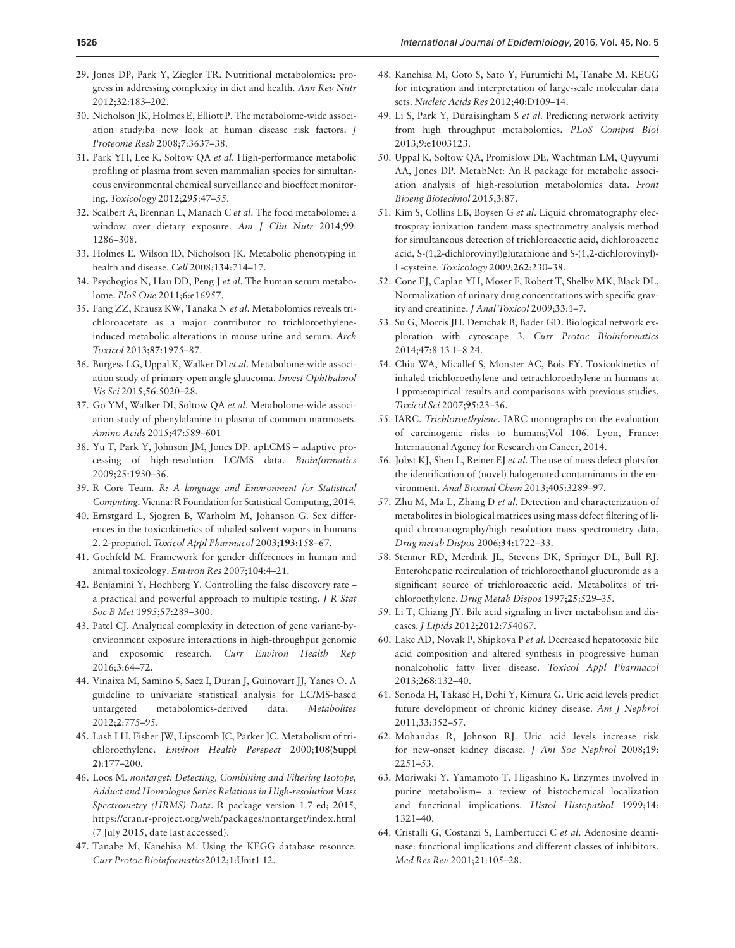- <span id="page-9-0"></span>29. Jones DP, Park Y, Ziegler TR. Nutritional metabolomics: progress in addressing complexity in diet and health. Ann Rev Nutr 2012;32:183–202.
- 30. Nicholson JK, Holmes E, Elliott P. The metabolome-wide association study:ba new look at human disease risk factors. J Proteome Resh 2008;7:3637–38.
- 31. Park YH, Lee K, Soltow QA et al. High-performance metabolic profiling of plasma from seven mammalian species for simultaneous environmental chemical surveillance and bioeffect monitoring. Toxicology 2012;295:47–55.
- 32. Scalbert A, Brennan L, Manach C et al. The food metabolome: a window over dietary exposure. Am J Clin Nutr 2014;99: 1286–308.
- 33. Holmes E, Wilson ID, Nicholson JK. Metabolic phenotyping in health and disease. Cell 2008;134:714–17.
- 34. Psychogios N, Hau DD, Peng J et al. The human serum metabolome. PloS One 2011;6:e16957.
- 35. Fang ZZ, Krausz KW, Tanaka N et al. Metabolomics reveals trichloroacetate as a major contributor to trichloroethyleneinduced metabolic alterations in mouse urine and serum. Arch Toxicol 2013;87:1975–87.
- 36. Burgess LG, Uppal K, Walker DI et al. Metabolome-wide association study of primary open angle glaucoma. Invest Ophthalmol Vis Sci 2015;56:5020–28.
- 37. Go YM, Walker DI, Soltow QA et al. Metabolome-wide association study of phenylalanine in plasma of common marmosets. Amino Acids 2015;47:589–601
- 38. Yu T, Park Y, Johnson JM, Jones DP. apLCMS adaptive processing of high-resolution LC/MS data. Bioinformatics 2009;25:1930–36.
- 39. R Core Team. R: A language and Environment for Statistical Computing. Vienna: R Foundation for Statistical Computing, 2014.
- 40. Ernstgard L, Sjogren B, Warholm M, Johanson G. Sex differences in the toxicokinetics of inhaled solvent vapors in humans 2. 2-propanol. Toxicol Appl Pharmacol 2003;193:158–67.
- 41. Gochfeld M. Framework for gender differences in human and animal toxicology. Environ Res 2007;104:4–21.
- 42. Benjamini Y, Hochberg Y. Controlling the false discovery rate a practical and powerful approach to multiple testing. J R Stat Soc B Met 1995;57:289–300.
- 43. Patel CJ. Analytical complexity in detection of gene variant-byenvironment exposure interactions in high-throughput genomic and exposomic research. Curr Environ Health Rep 2016;3:64–72.
- 44. Vinaixa M, Samino S, Saez I, Duran J, Guinovart JJ, Yanes O. A guideline to univariate statistical analysis for LC/MS-based untargeted metabolomics-derived data. Metabolites 2012;2:775–95.
- 45. Lash LH, Fisher JW, Lipscomb JC, Parker JC. Metabolism of trichloroethylene. Environ Health Perspect 2000;108(Suppl 2):177–200.
- 46. Loos M. nontarget: Detecting, Combining and Filtering Isotope, Adduct and Homologue Series Relations in High-resolution Mass Spectrometry (HRMS) Data. R package version 1.7 ed; 2015, https://cran.r-project.org/web/packages/nontarget/index.html (7 July 2015, date last accessed).
- 47. Tanabe M, Kanehisa M. Using the KEGG database resource. Curr Protoc Bioinformatics2012;1:Unit1 12.
- 48. Kanehisa M, Goto S, Sato Y, Furumichi M, Tanabe M. KEGG for integration and interpretation of large-scale molecular data sets. Nucleic Acids Res 2012;40:D109–14.
- 49. Li S, Park Y, Duraisingham S et al. Predicting network activity from high throughput metabolomics. PLoS Comput Biol 2013;9:e1003123.
- 50. Uppal K, Soltow QA, Promislow DE, Wachtman LM, Quyyumi AA, Jones DP. MetabNet: An R package for metabolic association analysis of high-resolution metabolomics data. Front Bioeng Biotechnol 2015;3:87.
- 51. Kim S, Collins LB, Boysen G et al. Liquid chromatography electrospray ionization tandem mass spectrometry analysis method for simultaneous detection of trichloroacetic acid, dichloroacetic acid, S-(1,2-dichlorovinyl)glutathione and S-(1,2-dichlorovinyl)- L-cysteine. Toxicology 2009;262:230–38.
- 52. Cone EJ, Caplan YH, Moser F, Robert T, Shelby MK, Black DL. Normalization of urinary drug concentrations with specific gravity and creatinine. J Anal Toxicol 2009;33:1–7.
- 53. Su G, Morris JH, Demchak B, Bader GD. Biological network exploration with cytoscape 3. Curr Protoc Bioinformatics 2014;47:8 13 1–8 24.
- 54. Chiu WA, Micallef S, Monster AC, Bois FY. Toxicokinetics of inhaled trichloroethylene and tetrachloroethylene in humans at 1 ppm:empirical results and comparisons with previous studies. Toxicol Sci 2007;95:23–36.
- 55. IARC. Trichloroethylene. IARC monographs on the evaluation of carcinogenic risks to humans;Vol 106. Lyon, France: International Agency for Research on Cancer, 2014.
- 56. Jobst KJ, Shen L, Reiner EJ et al. The use of mass defect plots for the identification of (novel) halogenated contaminants in the environment. Anal Bioanal Chem 2013;405:3289–97.
- 57. Zhu M, Ma L, Zhang D et al. Detection and characterization of metabolites in biological matrices using mass defect filtering of liquid chromatography/high resolution mass spectrometry data. Drug metab Dispos 2006;34:1722–33.
- 58. Stenner RD, Merdink JL, Stevens DK, Springer DL, Bull RJ. Enterohepatic recirculation of trichloroethanol glucuronide as a significant source of trichloroacetic acid. Metabolites of trichloroethylene. Drug Metab Dispos 1997;25:529–35.
- 59. Li T, Chiang JY. Bile acid signaling in liver metabolism and diseases. J Lipids 2012;2012:754067.
- 60. Lake AD, Novak P, Shipkova P et al. Decreased hepatotoxic bile acid composition and altered synthesis in progressive human nonalcoholic fatty liver disease. Toxicol Appl Pharmacol 2013;268:132–40.
- 61. Sonoda H, Takase H, Dohi Y, Kimura G. Uric acid levels predict future development of chronic kidney disease. Am J Nephrol 2011;33:352–57.
- 62. Mohandas R, Johnson RJ. Uric acid levels increase risk for new-onset kidney disease. J Am Soc Nephrol 2008;19: 2251–53.
- 63. Moriwaki Y, Yamamoto T, Higashino K. Enzymes involved in purine metabolism– a review of histochemical localization and functional implications. Histol Histopathol 1999;14: 1321–40.
- 64. Cristalli G, Costanzi S, Lambertucci C et al. Adenosine deaminase: functional implications and different classes of inhibitors. Med Res Rev 2001;21:105–28.